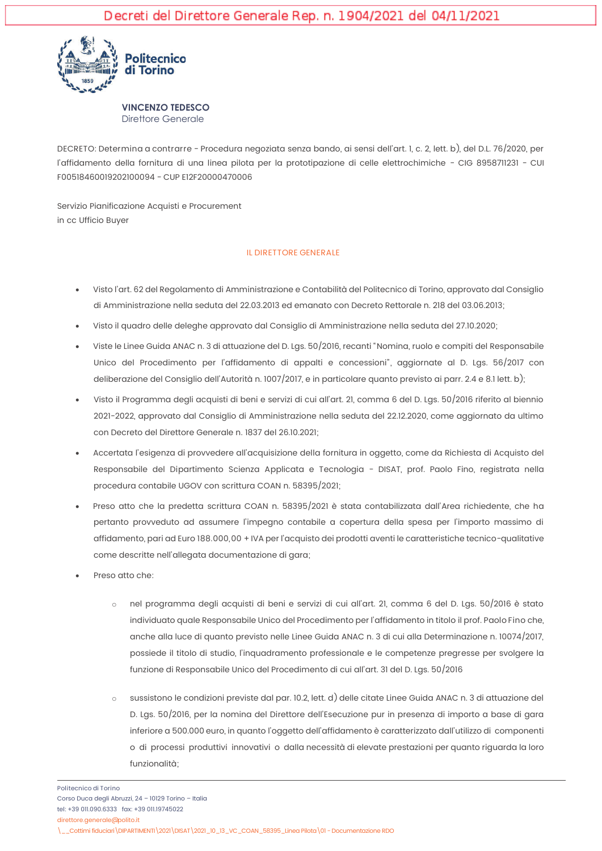

DECRETO: Determina a contrarre - Procedura negoziata senza bando, ai sensi dell'art. 1, c. 2, lett. b), del D.L. 76/2020, per l'affidamento della fornitura di una linea pilota per la prototipazione di celle elettrochimiche - CIG 8958711231 - CUI E00518460019202100094 - CUP E12E20000470006

Servizio Pianificazione Acquisti e Procurement in cc Ufficio Buver

## **IL DIRETTORE GENERALE**

- Visto l'art. 62 del Regolamento di Amministrazione e Contabilità del Politecnico di Torino, approvato dal Consiglio  $\bullet$ di Amministrazione nella seduta del 22.03.2013 ed emanato con Decreto Rettorale n. 218 del 03.06.2013;
- Visto il quadro delle deleghe approvato dal Consiglio di Amministrazione nella seduta del 27.10.2020;
- Viste le Linee Guida ANAC n. 3 di attuazione del D. Lgs. 50/2016, recanti "Nomina, ruolo e compiti del Responsabile  $\bullet$ Unico del Procedimento per l'affidamento di appalti e concessioni", aggiornate al D. Las. 56/2017 con deliberazione del Consiglio dell'Autorità n. 1007/2017, e in particolare quanto previsto ai parr. 2.4 e 8.1 lett. b);
- Visto il Programma degli acquisti di beni e servizi di cui all'art. 21, comma 6 del D. Lgs. 50/2016 riferito al biennio 2021-2022, approvato dal Consiglio di Amministrazione nella seduta del 22.12.2020, come aggiornato da ultimo con Decreto del Direttore Generale n. 1837 del 26.10.2021:
- Accertata l'esigenza di provvedere all'acquisizione della fornitura in oggetto, come da Richiesta di Acquisto del Responsabile del Dipartimento Scienza Applicata e Tecnologia - DISAT, prof. Paolo Fino, registrata nella procedura contabile UGOV con scrittura COAN n. 58395/2021;
- Preso atto che la predetta scrittura COAN n. 58395/2021 è stata contabilizzata dall'Area richiedente, che ha  $\bullet$ pertanto provveduto ad assumere l'impegno contabile a copertura della spesa per l'importo massimo di affidamento, pari ad Euro 188.000.00 + IVA per l'acquisto dei prodotti aventi le caratteristiche tecnico-qualitative come descritte nell'allegata documentazione di gara;
- Preso atto che:
	- nel programma degli acquisti di beni e servizi di cui all'art. 21, comma 6 del D. Lgs. 50/2016 è stato  $\circ$ individuato quale Responsabile Unico del Procedimento per l'affidamento in titolo il prof. Paolo Fino che, anche alla luce di quanto previsto nelle Linee Guida ANAC n. 3 di cui alla Determinazione n. 10074/2017, possiede il titolo di studio, l'inquadramento professionale e le competenze pregresse per svolgere la funzione di Responsabile Unico del Procedimento di cui all'art. 31 del D. Lgs. 50/2016
	- sussistono le condizioni previste dal par. 10.2, lett. d) delle citate Linee Guida ANAC n. 3 di attuazione del  $\sim$ D. Lgs. 50/2016, per la nomina del Direttore dell'Esecuzione pur in presenza di importo a base di gara inferiore a 500.000 euro, in quanto l'oggetto dell'affidamento è caratterizzato dall'utilizzo di componenti o di processi produttivi innovativi o dalla necessità di elevate prestazioni per quanto riguarda la loro funzionalità<sup>.</sup>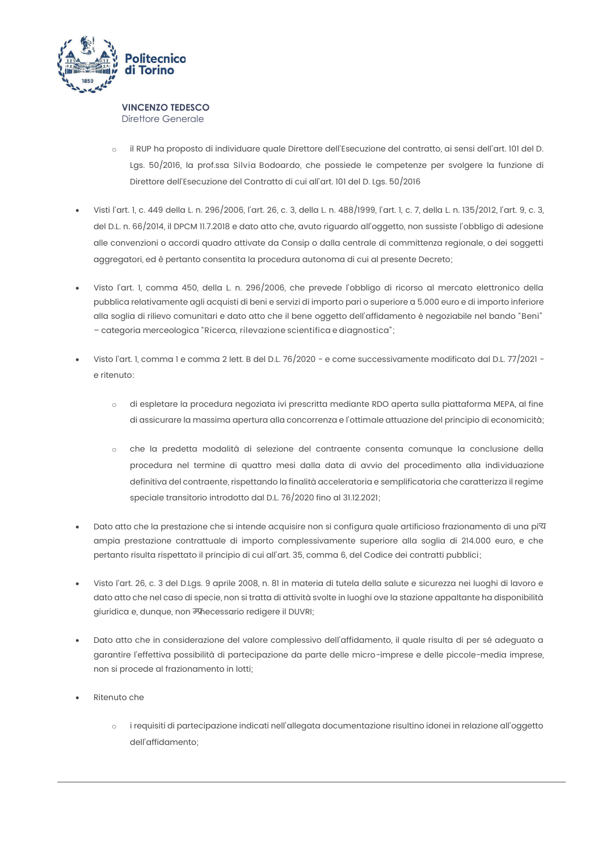

- il RUP ha proposto di individuare quale Direttore dell'Esecuzione del contratto, ai sensi dell'art. 101 del D.  $\sim$ Lgs. 50/2016, la prof.ssa Silvia Bodoardo, che possiede le competenze per svolgere la funzione di Direttore dell'Esecuzione del Contratto di cui all'art. 101 del D. Lgs. 50/2016
- Visti l'art. I. c. 449 della L. n. 296/2006. l'art. 26. c. 3. della L. n. 488/1999. l'art. I. c. 7. della L. n. 135/2012. l'art. 9. c. 3. del D.L. n. 66/2014, il DPCM 11.7.2018 e dato atto che, avuto riguardo all'oggetto, non sussiste l'obbligo di adesione alle convenzioni o accordi quadro attivate da Consip o dalla centrale di committenza regionale, o dei soggetti aggregatori, ed è pertanto consentita la procedura autonoma di cui al presente Decreto;
- Visto l'art. I, comma 450, della L. n. 296/2006, che prevede l'obbligo di ricorso al mercato elettronico della pubblica relativamente agli acquisti di beni e servizi di importo pari o superiore a 5.000 euro e di importo inferiore alla soglia di rilievo comunitari e dato atto che il bene oggetto dell'affidamento è negoziabile nel bando "Beni" - categoria merceologica "Ricerca, rilevazione scientifica e diagnostica";
- Visto l'art. 1, comma 1 e comma 2 lett. B del D.L. 76/2020 e come successivamente modificato dal D.L. 77/2021 e ritenuto:
	- di espletare la procedura negoziata ivi prescritta mediante RDO aperta sulla piattaforma MEPA, al fine  $\sim$ di assicurare la massima apertura alla concorrenza e l'ottimale attuazione del principio di economicità;
	- che la predetta modalità di selezione del contraente consenta comunque la conclusione della  $\circ$ procedura nel termine di quattro mesi dalla data di avvio del procedimento alla individuazione definitiva del contraente, rispettando la finalità acceleratoria e semplificatoria che caratterizza il regime speciale transitorio introdotto dal D.L. 76/2020 fino al 31.12.2021;
- Dato atto che la prestazione che si intende acquisire non si configura quale artificioso frazionamento di una pi $\overline{v}$ ampia prestazione contrattuale di importo complessivamente superiore alla soglia di 214.000 euro, e che pertanto risulta rispettato il principio di cui all'art. 35, comma 6, del Codice dei contratti pubblici;
- Visto l'art. 26, c. 3 del D.Lgs. 9 aprile 2008, n. 81 in materia di tutela della salute e sicurezza nei luoghi di lavoro e dato atto che nel caso di specie, non si tratta di attività svolte in luoghi ove la stazione appaltante ha disponibilità giuridica e, dunque, non Finecessario redigere il DUVRI;
- Dato atto che in considerazione del valore complessivo dell'affidamento, il quale risulta di per sé adeguato a garantire l'effettiva possibilità di partecipazione da parte delle micro-imprese e delle piccole-media imprese, non si procede al frazionamento in lotti;
- Ritenuto che
	- i requisiti di partecipazione indicati nell'allegata documentazione risultino idonei in relazione all'oggetto  $\circ$ dell'affidamento: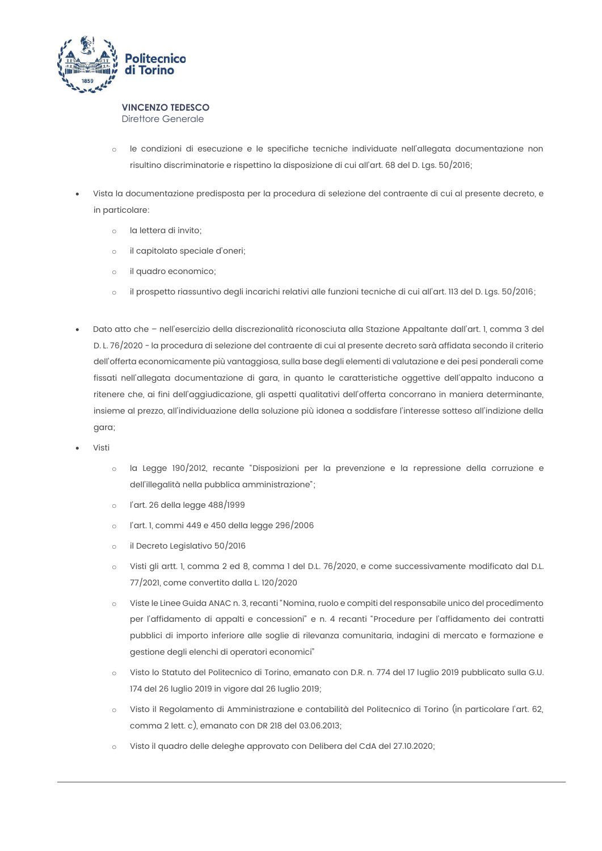

- le condizioni di esecuzione e le specifiche tecniche individuate nell'allegata documentazione non  $\sim$ risultino discriminatorie e rispettino la disposizione di cui all'art. 68 del D. Las. 50/2016;
- Vista la documentazione predisposta per la procedura di selezione del contraente di cui al presente decreto, e in particolare:
	- la lettera di invito:  $\sim$
	- il capitolato speciale d'oneri;  $\circ$
	- il quadro economico;  $\circ$
	- il prospetto riassuntivo degli incarichi relativi alle funzioni tecniche di cui all'art. 113 del D. Lgs. 50/2016;  $\circ$
- Dato atto che nell'esercizio della discrezionalità riconosciuta alla Stazione Appaltante dall'art. I, comma 3 del D. L. 76/2020 - la procedura di selezione del contraente di cui al presente decreto sarà affidata secondo il criterio dell'offerta economicamente più vantaggiosa, sulla base degli elementi di valutazione e dei pesi ponderali come fissati nell'allegata documentazione di gara, in quanto le caratteristiche oggettive dell'appalto inducono a ritenere che, ai fini dell'aggiudicazione, gli aspetti qualitativi dell'offerta concorrano in maniera determinante, insieme al prezzo, all'individuazione della soluzione più idonea a soddisfare l'interesse sotteso all'indizione della qara;
- Visti
	- la Legge 190/2012, recante "Disposizioni per la prevenzione e la repressione della corruzione e  $\sim$ dell'illegalità nella pubblica amministrazione";
	- l'art. 26 della legge 488/1999  $\circ$
	- l'art. 1, commi 449 e 450 della legge 296/2006  $\circ$
	- il Decreto Legislativo 50/2016  $\sim$
	- Visti gli artt. I, comma 2 ed 8, comma 1 del D.L. 76/2020, e come successivamente modificato dal D.L.  $\sim$ 77/2021, come convertito dalla L. 120/2020
	- Viste le Linee Guida ANAC n. 3, recanti "Nomina, ruolo e compiti del responsabile unico del procedimento  $\circ$ per l'affidamento di appalti e concessioni" e n. 4 recanti "Procedure per l'affidamento dei contratti pubblici di importo inferiore alle soglie di rilevanza comunitaria, indagini di mercato e formazione e gestione degli elenchi di operatori economici"
	- Visto lo Statuto del Politecnico di Torino, emanato con D.R. n. 774 del 17 luglio 2019 pubblicato sulla G.U.  $\sim$ 174 del 26 luglio 2019 in vigore dal 26 luglio 2019;
	- Visto il Regolamento di Amministrazione e contabilità del Politecnico di Torino (in particolare l'art. 62,  $\cap$ comma 2 lett. c), emanato con DR 218 del 03.06.2013;
	- Visto il quadro delle deleghe approvato con Delibera del CdA del 27.10.2020;  $\circ$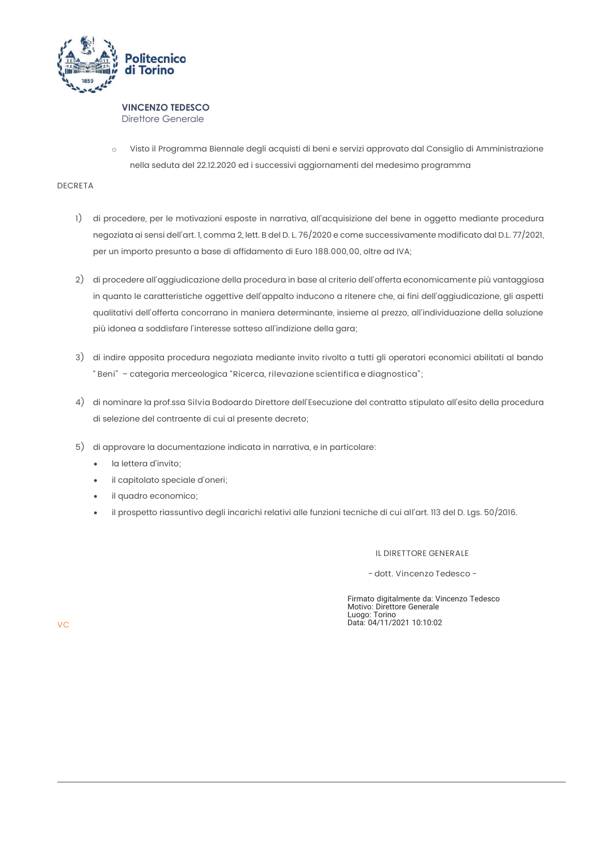

Visto il Programma Biennale degli acquisti di beni e servizi approvato dal Consiglio di Amministrazione  $\sim$ nella seduta del 22.12.2020 ed i successivi aggiornamenti del medesimo programma

# DECRETA

- 1) di procedere, per le motivazioni esposte in narrativa, all'acquisizione del bene in oggetto mediante procedura negoziata ai sensi dell'art. 1, comma 2, lett. B del D. L. 76/2020 e come successivamente modificato dal D.L. 77/2021, per un importo presunto a base di affidamento di Euro 188.000,00, oltre ad IVA;
- 2) di procedere all'aggiudicazione della procedura in base al criterio dell'offerta economicamente più vantaggiosa in quanto le caratteristiche oggettive dell'appalto inducono a ritenere che, ai fini dell'aggiudicazione, gli aspetti qualitativi dell'offerta concorrano in maniera determinante, insieme al prezzo, all'individuazione della soluzione più idonea a soddisfare l'interesse sotteso all'indizione della gara;
- 3) di indire apposita procedura negoziata mediante invito rivolto a tutti gli operatori economici abilitati al bando "Beni" - categoria merceologica "Ricerca, rilevazione scientifica e diagnostica";
- 4) di nominare la prof.ssa Silvia Bodoardo Direttore dell'Esecuzione del contratto stipulato all'esito della procedura di selezione del contraente di cui al presente decreto;
- 5) di approvare la documentazione indicata in narrativa, e in particolare:
	- la lettera d'invito;
	- il capitolato speciale d'oneri;
	- il quadro economico;
	- il prospetto riassuntivo degli incarichi relativi alle funzioni tecniche di cui all'art. 113 del D. Lgs. 50/2016.

### IL DIRETTORE GENERALE

- dott. Vincenzo Tedesco -

Firmato digitalmente da: Vincenzo Tedesco Motivo: Direttore Generale<br>Luogo: Torino<br>Data: 04/11/2021 10:10:02

**VC**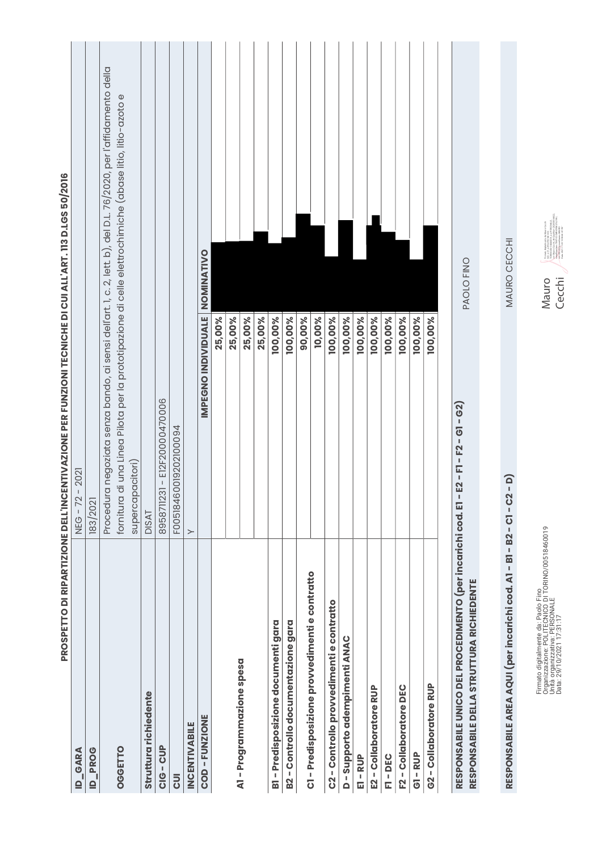|                                                                                                         | PROSPETTO DI RIPARTIZIONE DELL'INCENTIVAZIONE PER FUNZIONI TECNICHE DI CUI ALL'ART. 113 D.LGS 50/2016            |
|---------------------------------------------------------------------------------------------------------|------------------------------------------------------------------------------------------------------------------|
| GARA<br>$\mathbf{r}$                                                                                    | $-2021$<br><b>NEG-72</b>                                                                                         |
| <b>ID_PROG</b>                                                                                          | 183/2021                                                                                                         |
|                                                                                                         | Procedura negoziata senza bando, ai sensi dell'art. 1, c. 2, lett. b), del D.L. 76/2020, per l'affidamento della |
| OGGETTO                                                                                                 | fornitura di una Linea Pilota per la prototipazione di celle elettrochimiche (abase litio, litio-azoto e         |
|                                                                                                         | supercapacitori)                                                                                                 |
| Struttura richiedente                                                                                   | <b>DISAT</b>                                                                                                     |
| CIG-CUP                                                                                                 | 8958711231 - E12F20000470006                                                                                     |
| <b>JUI</b>                                                                                              | F00518460019202100094                                                                                            |
| <b>INCENTIVABILE</b>                                                                                    | $\succ$                                                                                                          |
| COD-FUNZIONE                                                                                            | NOMINATIVO<br>IMPEGNO INDIVIDUALE                                                                                |
|                                                                                                         | 25,00%                                                                                                           |
|                                                                                                         | 25,00%                                                                                                           |
| A1-Programmazione spesa                                                                                 | 25,00%                                                                                                           |
|                                                                                                         | 25,00%                                                                                                           |
| B1 - Predisposizione documenti gara                                                                     | 100,00%                                                                                                          |
| B2 - Controllo documentazione gara                                                                      | 100,00%                                                                                                          |
|                                                                                                         | 90,00%                                                                                                           |
| C1 - Predisposizione provvedimenti e contratto                                                          | 10,00%                                                                                                           |
| C2-Controllo provvedimenti e contratto                                                                  | 100,00%                                                                                                          |
| D - Supporto adempimenti ANAC                                                                           | 100,00%                                                                                                          |
| E1 - RUP                                                                                                | 100,00%                                                                                                          |
| E2 - Collaboratore RUP                                                                                  | 100,00%                                                                                                          |
| F1-DEC                                                                                                  | 100,00%                                                                                                          |
| F2-Collaboratore DEC                                                                                    | 100,00%                                                                                                          |
| GI-RUP                                                                                                  | 100,00%                                                                                                          |
| G2 - Collaboratore RUP                                                                                  | 100,00%                                                                                                          |
| RESPONSABILE UNICO DEL PROCEDIMENTO (per incarichi cod. El-<br>RESPONSABILE DELLA STRUTTURA RICHIEDENTE | PAOLO FINO<br>E2 - F1 - F2 - G1 - G2)                                                                            |
|                                                                                                         |                                                                                                                  |

**RESPONSABILE AREA AQUI (per incarichi cod. A1 - B1 - B2 - C1 - C2 - D)** MAURO CECCHI RESPONSABILE AREA AQUI (per incarichi cod. A1 - B1 - B2 - C1 - C2 - D)

Firmato digitalmente da: Paolo Fino<br>Organizzazione: POLITECNICO DI TORINO/00518460019<br>Data: 29/10/2021 17:31:17<br>Data: 29/10/2021 17:31:17 Organizzazione: POLITECNICO DI TORINO/00518460019 Firmato digitalmente da: Paolo Fino Unità organizzativa: PERSONALE Data: 29/10/2021 17:31:17

MAURO CECCHI

Frm atoligibilimente dis Nauro Cecci<br>Tell Robot Dis Below Pro Cecci Tell Robot Dis Below Pro Cecci Tell<br>Tell Robot Dis Below Pro Cecci Pro Cecci Tell<br>Service District Cecci Pro Cecci Pro Cecci Pro<br>Tell Robot District Distr cn=Mauro Cecchi, dnQualifier=202050004022, serialNumber=TINIT-CCCMRA70M27L219U, TORINO/00518460019, ou=PERSONALE, sn=CECCHI, givenName=MAURO Data: 2021.11.03 13:58:46 +01'00'ND: c=IT, o=POLITECNICO DI Mauro Cecchi